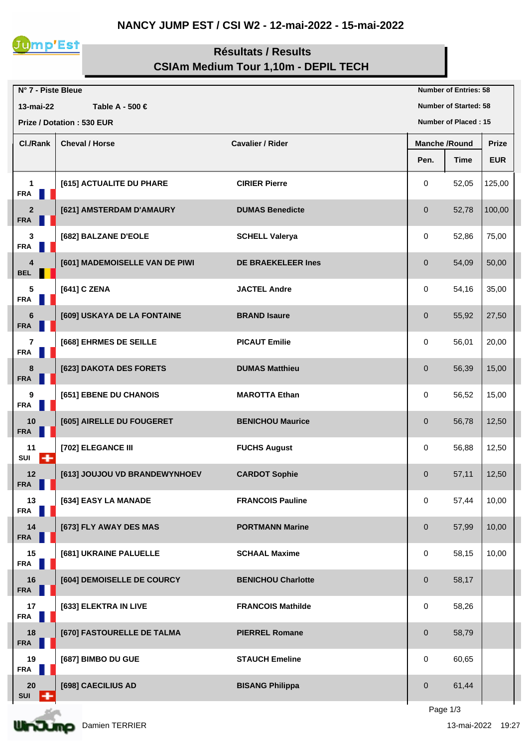## **NANCY JUMP EST / CSI W2 - 12-mai-2022 - 15-mai-2022**



## **Résultats / Results CSIAm Medium Tour 1,10m - DEPIL TECH**

| N° 7 - Piste Bleue                                       |                                |                           | <b>Number of Entries: 58</b> |             |              |  |
|----------------------------------------------------------|--------------------------------|---------------------------|------------------------------|-------------|--------------|--|
| Table A - 500 €<br>13-mai-22                             |                                |                           | <b>Number of Started: 58</b> |             |              |  |
| <b>Prize / Dotation: 530 EUR</b><br>Number of Placed: 15 |                                |                           |                              |             |              |  |
| Cl./Rank                                                 | <b>Cheval / Horse</b>          | <b>Cavalier / Rider</b>   | <b>Manche /Round</b>         |             | <b>Prize</b> |  |
|                                                          |                                |                           | Pen.                         | <b>Time</b> | <b>EUR</b>   |  |
| $\mathbf{1}$<br><b>FRA</b>                               | [615] ACTUALITE DU PHARE       | <b>CIRIER Pierre</b>      | 0                            | 52,05       | 125,00       |  |
| $\overline{2}$<br><b>FRA</b>                             | [621] AMSTERDAM D'AMAURY       | <b>DUMAS Benedicte</b>    | $\pmb{0}$                    | 52,78       | 100,00       |  |
| $\mathbf 3$<br><b>FRA</b>                                | [682] BALZANE D'EOLE           | <b>SCHELL Valerya</b>     | 0                            | 52,86       | 75,00        |  |
| $\overline{\mathbf{4}}$<br><b>BEL</b>                    | [601] MADEMOISELLE VAN DE PIWI | <b>DE BRAEKELEER Ines</b> | 0                            | 54,09       | 50,00        |  |
| 5<br><b>FRA</b><br>×                                     | [641] C ZENA                   | <b>JACTEL Andre</b>       | 0                            | 54,16       | 35,00        |  |
| $\bf 6$<br><b>FRA</b>                                    | [609] USKAYA DE LA FONTAINE    | <b>BRAND Isaure</b>       | $\mathbf 0$                  | 55,92       | 27,50        |  |
| $\overline{\mathbf{r}}$<br><b>FRA</b><br>ш               | [668] EHRMES DE SEILLE         | <b>PICAUT Emilie</b>      | 0                            | 56,01       | 20,00        |  |
| 8<br><b>FRA</b>                                          | [623] DAKOTA DES FORETS        | <b>DUMAS Matthieu</b>     | $\mathbf 0$                  | 56,39       | 15,00        |  |
| 9<br><b>FRA</b>                                          | [651] EBENE DU CHANOIS         | <b>MAROTTA Ethan</b>      | 0                            | 56,52       | 15,00        |  |
| 10<br><b>FRA</b>                                         | [605] AIRELLE DU FOUGERET      | <b>BENICHOU Maurice</b>   | $\mathbf 0$                  | 56,78       | 12,50        |  |
| 11<br>SUI<br>÷                                           | [702] ELEGANCE III             | <b>FUCHS August</b>       | 0                            | 56,88       | 12,50        |  |
| 12<br><b>FRA</b>                                         | [613] JOUJOU VD BRANDEWYNHOEV  | <b>CARDOT Sophie</b>      | $\mathbf 0$                  | 57,11       | 12,50        |  |
| 13<br><b>FRA</b><br>H.                                   | [634] EASY LA MANADE           | <b>FRANCOIS Pauline</b>   | 0                            | 57,44       | 10,00        |  |
| 14<br><b>FRA</b>                                         | [673] FLY AWAY DES MAS         | <b>PORTMANN Marine</b>    | 0                            | 57,99       | 10,00        |  |
| 15<br><b>FRA</b><br>$\blacksquare$                       | [681] UKRAINE PALUELLE         | <b>SCHAAL Maxime</b>      | 0                            | 58,15       | 10,00        |  |
| 16<br><b>FRA</b>                                         | [604] DEMOISELLE DE COURCY     | <b>BENICHOU Charlotte</b> | $\mathbf 0$                  | 58,17       |              |  |
| 17<br><b>FRA</b>                                         | [633] ELEKTRA IN LIVE          | <b>FRANCOIS Mathilde</b>  | 0                            | 58,26       |              |  |
| 18<br><b>FRA</b>                                         | [670] FASTOURELLE DE TALMA     | <b>PIERREL Romane</b>     | 0                            | 58,79       |              |  |
| 19<br><b>FRA</b>                                         | [687] BIMBO DU GUE             | <b>STAUCH Emeline</b>     | 0                            | 60,65       |              |  |
| 20<br>H<br><b>SUI</b>                                    | [698] CAECILIUS AD             | <b>BISANG Philippa</b>    | 0                            | 61,44       |              |  |
|                                                          |                                |                           |                              | Page 1/3    |              |  |

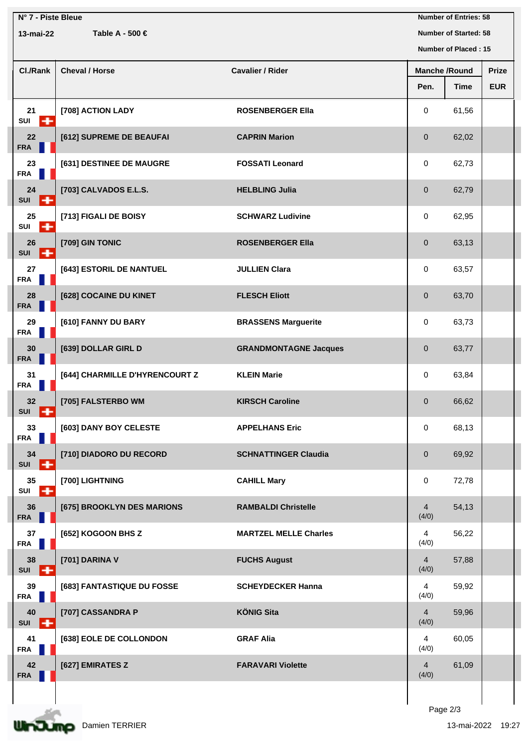| N° 7 - Piste Bleue<br>Table A - 500 €<br>13-mai-22 |                                |                              | <b>Number of Entries: 58</b><br><b>Number of Started: 58</b> |       |              |  |
|----------------------------------------------------|--------------------------------|------------------------------|--------------------------------------------------------------|-------|--------------|--|
|                                                    |                                |                              | Number of Placed: 15                                         |       |              |  |
| Cl./Rank                                           | <b>Cheval / Horse</b>          | <b>Cavalier / Rider</b>      | <b>Manche /Round</b>                                         |       | <b>Prize</b> |  |
|                                                    |                                |                              | Pen.                                                         | Time  | <b>EUR</b>   |  |
| 21<br>SUI<br>÷                                     | [708] ACTION LADY              | <b>ROSENBERGER Ella</b>      | 0                                                            | 61,56 |              |  |
| 22<br><b>FRA</b>                                   | [612] SUPREME DE BEAUFAI       | <b>CAPRIN Marion</b>         | $\mathbf 0$                                                  | 62,02 |              |  |
| 23<br><b>FRA</b>                                   | [631] DESTINEE DE MAUGRE       | <b>FOSSATI Leonard</b>       | 0                                                            | 62,73 |              |  |
| 24<br>SUI<br>l +                                   | [703] CALVADOS E.L.S.          | <b>HELBLING Julia</b>        | $\mathbf 0$                                                  | 62,79 |              |  |
| 25<br>SUI<br>$\ddot{}$                             | [713] FIGALI DE BOISY          | <b>SCHWARZ Ludivine</b>      | 0                                                            | 62,95 |              |  |
| 26<br>l +<br><b>SUI</b>                            | [709] GIN TONIC                | <b>ROSENBERGER Ella</b>      | $\pmb{0}$                                                    | 63,13 |              |  |
| 27<br><b>FRA</b>                                   | [643] ESTORIL DE NANTUEL       | <b>JULLIEN Clara</b>         | 0                                                            | 63,57 |              |  |
| 28<br><b>FRA</b>                                   | [628] COCAINE DU KINET         | <b>FLESCH Eliott</b>         | $\mathbf 0$                                                  | 63,70 |              |  |
| 29<br><b>FRA</b>                                   | [610] FANNY DU BARY            | <b>BRASSENS Marguerite</b>   | 0                                                            | 63,73 |              |  |
| 30<br><b>FRA</b>                                   | [639] DOLLAR GIRL D            | <b>GRANDMONTAGNE Jacques</b> | $\mathbf{0}$                                                 | 63,77 |              |  |
| 31<br><b>FRA</b>                                   | [644] CHARMILLE D'HYRENCOURT Z | <b>KLEIN Marie</b>           | 0                                                            | 63,84 |              |  |
| 32<br>+<br><b>SUI</b>                              | [705] FALSTERBO WM             | <b>KIRSCH Caroline</b>       | $\mathbf 0$                                                  | 66,62 |              |  |
| 33<br><b>FRA</b>                                   | [603] DANY BOY CELESTE         | <b>APPELHANS Eric</b>        | 0                                                            | 68,13 |              |  |
| 34<br>ıф<br>SUI                                    | [710] DIADORO DU RECORD        | <b>SCHNATTINGER Claudia</b>  | $\pmb{0}$                                                    | 69,92 |              |  |
| 35<br>÷<br>SUI                                     | [700] LIGHTNING                | <b>CAHILL Mary</b>           | 0                                                            | 72,78 |              |  |
| 36<br><b>FRA</b>                                   | [675] BROOKLYN DES MARIONS     | <b>RAMBALDI Christelle</b>   | $\overline{4}$<br>(4/0)                                      | 54,13 |              |  |
| 37<br><b>FRA</b>                                   | [652] KOGOON BHS Z             | <b>MARTZEL MELLE Charles</b> | $\overline{4}$<br>(4/0)                                      | 56,22 |              |  |
| 38<br>SUI<br>l÷                                    | [701] DARINA V                 | <b>FUCHS August</b>          | $\overline{4}$<br>(4/0)                                      | 57,88 |              |  |
| 39<br><b>FRA</b>                                   | [683] FANTASTIQUE DU FOSSE     | <b>SCHEYDECKER Hanna</b>     | $\overline{4}$<br>(4/0)                                      | 59,92 |              |  |
| 40<br>SUI<br>l+                                    | [707] CASSANDRA P              | <b>KÖNIG Sita</b>            | $\overline{4}$<br>(4/0)                                      | 59,96 |              |  |
| 41<br><b>FRA</b>                                   | [638] EOLE DE COLLONDON        | <b>GRAF Alia</b>             | $\overline{4}$<br>(4/0)                                      | 60,05 |              |  |
| 42<br><b>FRA</b>                                   | [627] EMIRATES Z               | <b>FARAVARI Violette</b>     | $\overline{4}$<br>(4/0)                                      | 61,09 |              |  |
|                                                    |                                |                              |                                                              |       |              |  |

Page 2/3